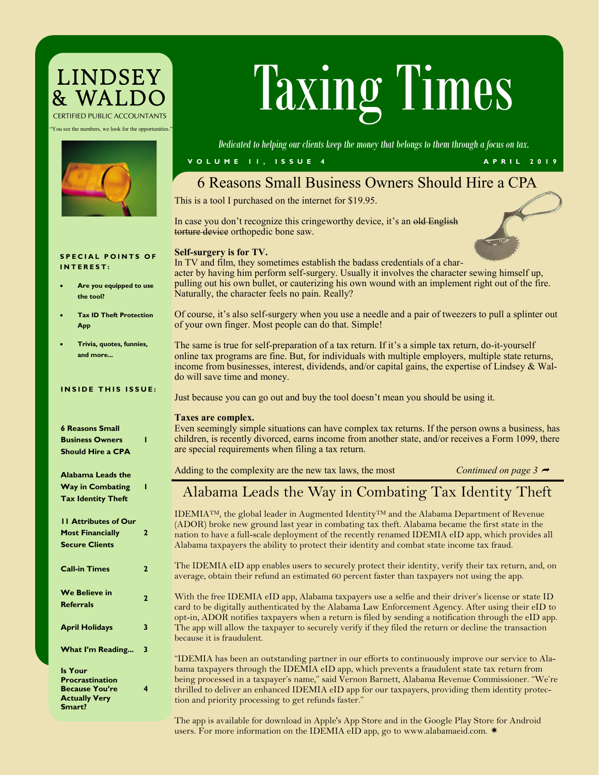## **LINDSEY** *CERTIFIED PUBLIC ACCOUNTANTS*

You see the numbers, we look for the opportunities."



# LINDSEY **TAXING TIMES**

*Dedicated to helping our clients keep the money that belongs to them through a focus on tax.*

#### **V O L U M E 1 1 , I S S U E 4 A P R I L 2 0 1 9**

## 6 Reasons Small Business Owners Should Hire a CPA

This is a tool I purchased on the internet for \$19.95.

In case you don't recognize this cringeworthy device, it's an old English torture device orthopedic bone saw.



In TV and film, they sometimes establish the badass credentials of a character by having him perform self-surgery. Usually it involves the character sewing himself up, pulling out his own bullet, or cauterizing his own wound with an implement right out of the fire. Naturally, the character feels no pain. Really?

Of course, it's also self-surgery when you use a needle and a pair of tweezers to pull a splinter out of your own finger. Most people can do that. Simple!

The same is true for self-preparation of a tax return. If it's a simple tax return, do-it-yourself online tax programs are fine. But, for individuals with multiple employers, multiple state returns, income from businesses, interest, dividends, and/or capital gains, the expertise of Lindsey & Waldo will save time and money.

Just because you can go out and buy the tool doesn't mean you should be using it.

#### **Taxes are complex.**

Even seemingly simple situations can have complex tax returns. If the person owns a business, has children, is recently divorced, earns income from another state, and/or receives a Form 1099, there are special requirements when filing a tax return.

Adding to the complexity are the new tax laws, the most *Continued on page 3*  $\rightarrow$ 

## Alabama Leads the Way in Combating Tax Identity Theft

IDEMIATM, the global leader in Augmented Identity<sup>TM</sup> and the Alabama Department of Revenue (ADOR) broke new ground last year in combating tax theft. Alabama became the first state in the nation to have a full-scale deployment of the recently renamed IDEMIA eID app, which provides all Alabama taxpayers the ability to protect their identity and combat state income tax fraud.

The IDEMIA eID app enables users to securely protect their identity, verify their tax return, and, on average, obtain their refund an estimated 60 percent faster than taxpayers not using the app.

With the free IDEMIA eID app, Alabama taxpayers use a selfie and their driver's license or state ID card to be digitally authenticated by the Alabama Law Enforcement Agency. After using their eID to opt-in, ADOR notifies taxpayers when a return is filed by sending a notification through the eID app. The app will allow the taxpayer to securely verify if they filed the return or decline the transaction because it is fraudulent.

"IDEMIA has been an outstanding partner in our efforts to continuously improve our service to Alabama taxpayers through the IDEMIA eID app, which prevents a fraudulent state tax return from being processed in a taxpayer's name," said Vernon Barnett, Alabama Revenue Commissioner. "We're thrilled to deliver an enhanced IDEMIA eID app for our taxpayers, providing them identity protection and priority processing to get refunds faster."

The app is available for download in [Apple's App Store](https://www.apple.com/ios/app-store/) and in the [Google Play Store](https://play.google.com/store/apps?utm_source=na_Med&utm_medium=offsem&utm_content=Jan3017&utm_campaign=Evergreen&pcampaignid=MKT-DR-na-us-1000189-Med-offsem-ap-Evergreen-Jan3017-Text_Search_BKWS-id_100255_%7cEXA%7cOFFSEM_kwid_43700020588035763&gclid=CMyiwdD5) for Android users. For more information on the IDEMIA eID app, go to [www.alabamaeid.com.](https://www.alabamaeid.com/)  $*$ 

#### **SPECIAL POINTS OF I N T E R E S T :**

- **Are you equipped to use the tool?**
- **Tax ID Theft Protection App**
- **Trivia, quotes, funnies, and more...**

#### **INSIDE THIS ISSUE:**

| <b>6 Reasons Small</b>      |                |
|-----------------------------|----------------|
| <b>Business Owners</b>      | ī              |
| <b>Should Hire a CPA</b>    |                |
| <b>Alabama Leads the</b>    |                |
| <b>Way in Combating</b>     | ı              |
| <b>Tax Identity Theft</b>   |                |
| <b>11 Attributes of Our</b> |                |
| <b>Most Financially</b>     | $\overline{2}$ |
| <b>Secure Clients</b>       |                |
| <b>Call-in Times</b>        | $\overline{a}$ |
| <b>We Believe in</b>        | $\overline{2}$ |
| <b>Referrals</b>            |                |
| <b>April Holidays</b>       | 3              |
| <b>What I'm Reading</b>     | 3              |
| <b>Is Your</b>              |                |
| <b>Procrastination</b>      |                |
| <b>Because You're</b>       | 4              |
| <b>Actually Very</b>        |                |

**Smart?**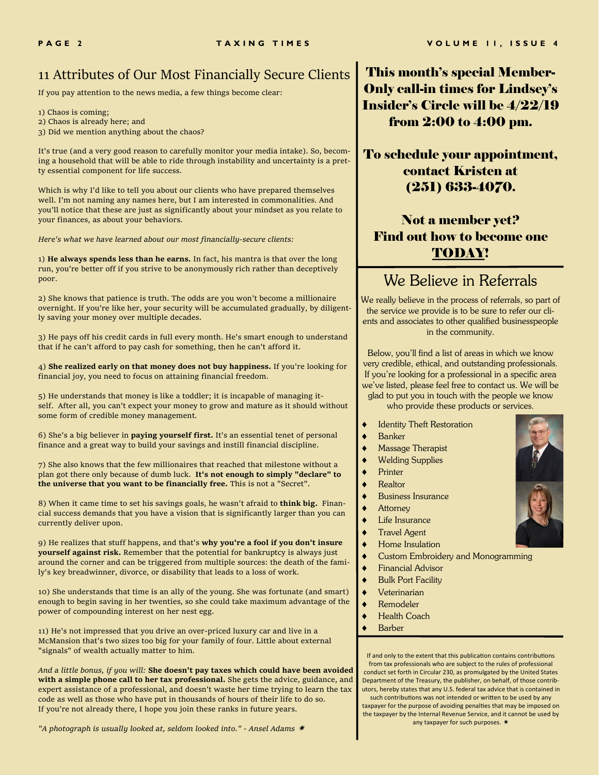### 11 Attributes of Our Most Financially Secure Clients

If you pay attention to the news media, a few things become clear:

1) Chaos is coming;

- 2) Chaos is already here; and
- 3) Did we mention anything about the chaos?

It's true (and a very good reason to carefully monitor your media intake). So, becoming a household that will be able to ride through instability and uncertainty is a pretty essential component for life success.

Which is why I'd like to tell you about our clients who have prepared themselves well. I'm not naming any names here, but I am interested in commonalities. And you'll notice that these are just as significantly about your mindset as you relate to your finances, as about your behaviors.

*Here's what we have learned about our most financially-secure clients:*

1) **He always spends less than he earns.** In fact, his mantra is that over the long run, you're better off if you strive to be anonymously rich rather than deceptively poor.

2) She knows that patience is truth. The odds are you won't become a millionaire overnight. If you're like her, your security will be accumulated gradually, by diligently saving your money over multiple decades.

3) He pays off his credit cards in full every month. He's smart enough to understand that if he can't afford to pay cash for something, then he can't afford it.

4) **She realized early on that money does not buy happiness.** If you're looking for financial joy, you need to focus on attaining financial freedom.

5) He understands that money is like a toddler; it is incapable of managing itself. After all, you can't expect your money to grow and mature as it should without some form of credible money management.

6) She's a big believer in **paying yourself first.** It's an essential tenet of personal finance and a great way to build your savings and instill financial discipline.

7) She also knows that the few millionaires that reached that milestone without a plan got there only because of dumb luck. **It's not enough to simply "declare" to the universe that you want to be financially free.** This is not a "Secret".

8) When it came time to set his savings goals, he wasn't afraid to **think big.** Financial success demands that you have a vision that is significantly larger than you can currently deliver upon.

9) He realizes that stuff happens, and that's **why you're a fool if you don't insure yourself against risk.** Remember that the potential for bankruptcy is always just around the corner and can be triggered from multiple sources: the death of the family's key breadwinner, divorce, or disability that leads to a loss of work.

10) She understands that time is an ally of the young. She was fortunate (and smart) enough to begin saving in her twenties, so she could take maximum advantage of the power of compounding interest on her nest egg.

11) He's not impressed that you drive an over-priced luxury car and live in a McMansion that's two sizes too big for your family of four. Little about external "signals" of wealth actually matter to him.

*And a little bonus, if you will:* **She doesn't pay taxes which could have been avoided with a simple phone call to her tax professional.** She gets the advice, guidance, and expert assistance of a professional, and doesn't waste her time trying to learn the tax code as well as those who have put in thousands of hours of their life to do so. If you're not already there, I hope you join these ranks in future years.

*"A photograph is usually looked at, seldom looked into." - Ansel Adams*  $*$ 

This month's special Member-Only call-in times for Lindsey's Insider's Circle will be 4/22/19 from 2:00 to 4:00 pm.

To schedule your appointment, contact Kristen at (251) 633-4070.

## Not a member yet? Find out how to become one TODAY!

## We Believe in Referrals

We really believe in the process of referrals, so part of the service we provide is to be sure to refer our clients and associates to other qualified businesspeople in the community.

Below, you'll find a list of areas in which we know very credible, ethical, and outstanding professionals. If you're looking for a professional in a specific area we've listed, please feel free to contact us. We will be glad to put you in touch with the people we know who provide these products or services.

- **Identity Theft Restoration**
- Banker
- Massage Therapist
- Welding Supplies
- Printer
- Realtor
- Business Insurance
- **Attorney**
- Life Insurance
- Travel Agent
- Home Insulation
- Custom Embroidery and Monogramming
- Financial Advisor
- Bulk Port Facility
- Veterinarian
- Remodeler
- Health Coach
- Barber

If and only to the extent that this publication contains contributions from tax professionals who are subject to the rules of professional conduct set forth in Circular 230, as promulgated by the United States Department of the Treasury, the publisher, on behalf, of those contributors, hereby states that any U.S. federal tax advice that is contained in

such contributions was not intended or written to be used by any taxpayer for the purpose of avoiding penalties that may be imposed on the taxpayer by the Internal Revenue Service, and it cannot be used by any taxpayer for such purposes. \*

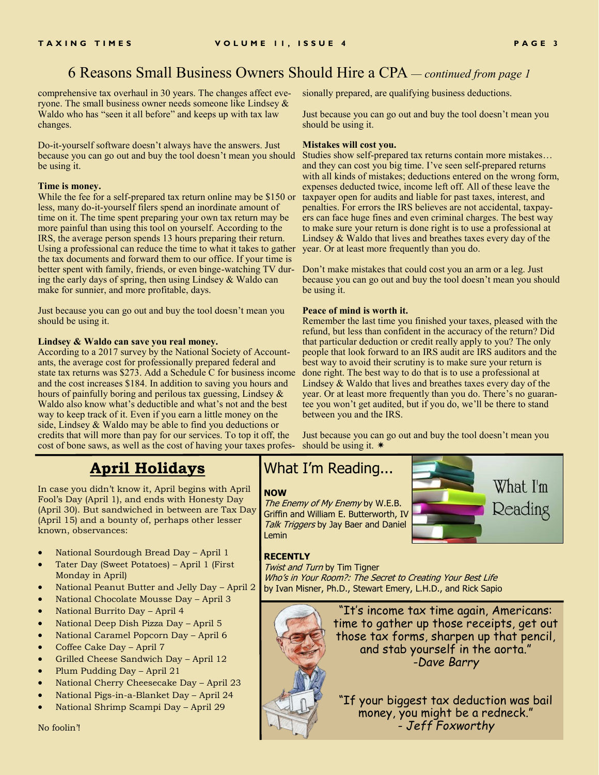## 6 Reasons Small Business Owners Should Hire a CPA *— continued from page 1*

comprehensive tax overhaul in 30 years. The changes affect everyone. The small business owner needs someone like Lindsey  $\&$ Waldo who has "seen it all before" and keeps up with tax law changes.

Do-it-yourself software doesn't always have the answers. Just because you can go out and buy the tool doesn't mean you should be using it.

#### **Time is money.**

While the fee for a self-prepared tax return online may be \$150 or less, many do-it-yourself filers spend an inordinate amount of time on it. The time spent preparing your own tax return may be more painful than using this tool on yourself. According to the IRS, the average person spends 13 hours preparing their return. Using a professional can reduce the time to what it takes to gather the tax documents and forward them to our office. If your time is better spent with family, friends, or even binge-watching TV during the early days of spring, then using Lindsey & Waldo can make for sunnier, and more profitable, days.

Just because you can go out and buy the tool doesn't mean you should be using it.

#### **Lindsey & Waldo can save you real money.**

According to a 2017 survey by the National Society of Accountants, the average cost for professionally prepared federal and state tax returns was \$273. Add a Schedule C for business income and the cost increases \$184. In addition to saving you hours and hours of painfully boring and perilous tax guessing, Lindsey  $\&$ Waldo also know what's deductible and what's not and the best way to keep track of it. Even if you earn a little money on the side, Lindsey & Waldo may be able to find you deductions or credits that will more than pay for our services. To top it off, the cost of bone saws, as well as the cost of having your taxes profes-

**April Holidays**

In case you didn't know it, April begins with April Fool's Day (April 1), and ends with Honesty Day (April 30). But sandwiched in between are Tax Day (April 15) and a bounty of, perhaps other lesser known, observances:

- National Sourdough Bread Day April 1
- Tater Day (Sweet Potatoes) April 1 (First Monday in April)
- National Peanut Butter and Jelly Day April 2
- National Chocolate Mousse Day April 3
- National Burrito Day April 4
- National Deep Dish Pizza Day April 5
- National Caramel Popcorn Day April 6
- Coffee Cake Day April 7
- Grilled Cheese Sandwich Day April 12
- Plum Pudding Day April 21
- National Cherry Cheesecake Day April 23
- National Pigs-in-a-Blanket Day April 24
- National Shrimp Scampi Day April 29

sionally prepared, are qualifying business deductions.

Just because you can go out and buy the tool doesn't mean you should be using it.

#### **Mistakes will cost you.**

Studies show self-prepared tax returns contain more mistakes… and they can cost you big time. I've seen self-prepared returns with all kinds of mistakes; deductions entered on the wrong form, expenses deducted twice, income left off. All of these leave the taxpayer open for audits and liable for past taxes, interest, and penalties. For errors the IRS believes are not accidental, taxpayers can face huge fines and even criminal charges. The best way to make sure your return is done right is to use a professional at Lindsey & Waldo that lives and breathes taxes every day of the year. Or at least more frequently than you do.

Don't make mistakes that could cost you an arm or a leg. Just because you can go out and buy the tool doesn't mean you should be using it.

#### **Peace of mind is worth it.**

Remember the last time you finished your taxes, pleased with the refund, but less than confident in the accuracy of the return? Did that particular deduction or credit really apply to you? The only people that look forward to an IRS audit are IRS auditors and the best way to avoid their scrutiny is to make sure your return is done right. The best way to do that is to use a professional at Lindsey & Waldo that lives and breathes taxes every day of the year. Or at least more frequently than you do. There's no guarantee you won't get audited, but if you do, we'll be there to stand between you and the IRS.

Just because you can go out and buy the tool doesn't mean you should be using it.  $*$ 

#### What I'm Reading...

#### **NOW**

The Enemy of My Enemy by W.E.B. Griffin and William E. Butterworth, IV Talk Triggers by Jay Baer and Daniel Lemin



#### **RECENTLY**

**Twist and Turn by Tim Tigner** Who's in Your Room?: The Secret to Creating Your Best Life by Ivan Misner, Ph.D., Stewart Emery, L.H.D., and Rick Sapio

> "It's income tax time again, Americans: time to gather up those receipts, get out those tax forms, sharpen up that pencil, and stab yourself in the aorta." *-Dave Barry*

"If your biggest tax deduction was bail money, you might be a redneck." *- Jeff Foxworthy*

No foolin'!